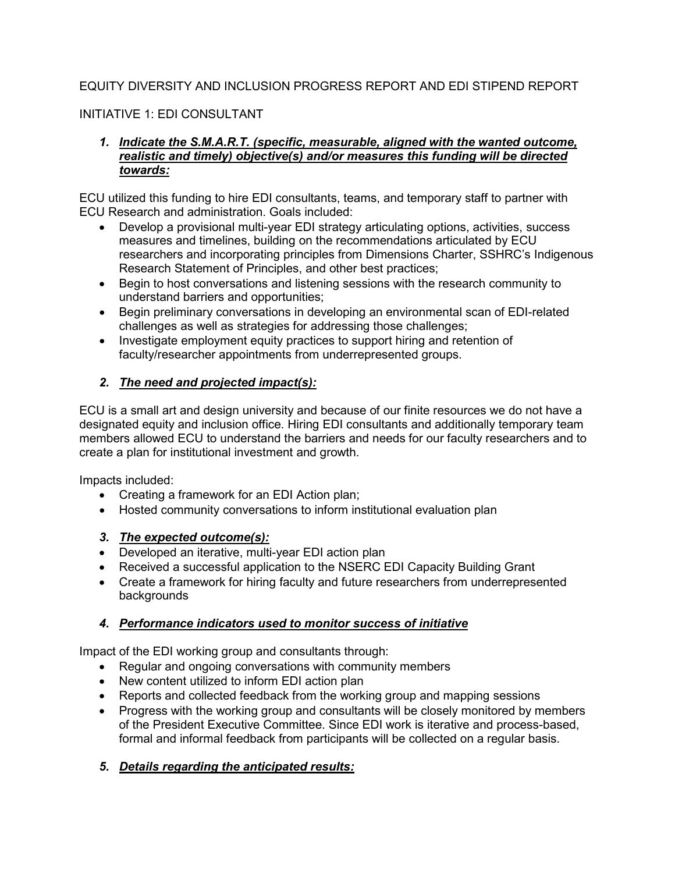# EQUITY DIVERSITY AND INCLUSION PROGRESS REPORT AND EDI STIPEND REPORT

## INITIATIVE 1: EDI CONSULTANT

#### *1. Indicate the S.M.A.R.T. (specific, measurable, aligned with the wanted outcome, realistic and timely) objective(s) and/or measures this funding will be directed towards:*

ECU utilized this funding to hire EDI consultants, teams, and temporary staff to partner with ECU Research and administration. Goals included:

- Develop a provisional multi-year EDI strategy articulating options, activities, success measures and timelines, building on the recommendations articulated by ECU researchers and incorporating principles from Dimensions Charter, SSHRC's Indigenous Research Statement of Principles, and other best practices;
- Begin to host conversations and listening sessions with the research community to understand barriers and opportunities;
- Begin preliminary conversations in developing an environmental scan of EDI-related challenges as well as strategies for addressing those challenges;
- Investigate employment equity practices to support hiring and retention of faculty/researcher appointments from underrepresented groups.

## *2. The need and projected impact(s):*

ECU is a small art and design university and because of our finite resources we do not have a designated equity and inclusion office. Hiring EDI consultants and additionally temporary team members allowed ECU to understand the barriers and needs for our faculty researchers and to create a plan for institutional investment and growth.

Impacts included:

- Creating a framework for an EDI Action plan;
- Hosted community conversations to inform institutional evaluation plan

#### *3. The expected outcome(s):*

- Developed an iterative, multi-year EDI action plan
- Received a successful application to the NSERC EDI Capacity Building Grant
- Create a framework for hiring faculty and future researchers from underrepresented backgrounds

## *4. Performance indicators used to monitor success of initiative*

Impact of the EDI working group and consultants through:

- Regular and ongoing conversations with community members
- New content utilized to inform EDI action plan
- Reports and collected feedback from the working group and mapping sessions
- Progress with the working group and consultants will be closely monitored by members of the President Executive Committee. Since EDI work is iterative and process-based, formal and informal feedback from participants will be collected on a regular basis.

## *5. Details regarding the anticipated results:*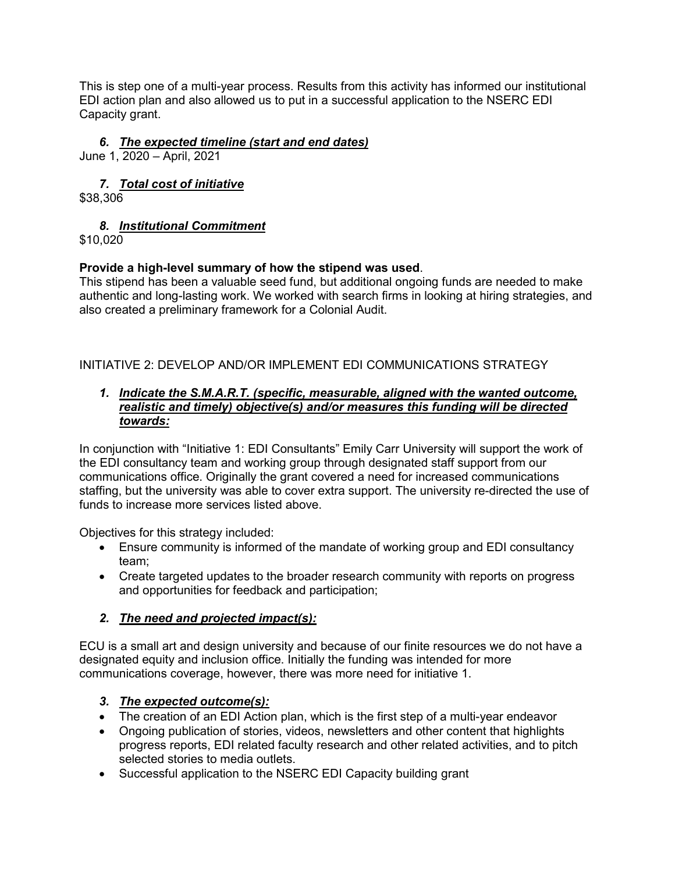This is step one of a multi-year process. Results from this activity has informed our institutional EDI action plan and also allowed us to put in a successful application to the NSERC EDI Capacity grant.

## *6. The expected timeline (start and end dates)*

June 1, 2020 – April, 2021

# *7. Total cost of initiative*

\$38,306

# *8. Institutional Commitment*

\$10,020

## **Provide a high-level summary of how the stipend was used**.

This stipend has been a valuable seed fund, but additional ongoing funds are needed to make authentic and long-lasting work. We worked with search firms in looking at hiring strategies, and also created a preliminary framework for a Colonial Audit.

# INITIATIVE 2: DEVELOP AND/OR IMPLEMENT EDI COMMUNICATIONS STRATEGY

#### *1. Indicate the S.M.A.R.T. (specific, measurable, aligned with the wanted outcome, realistic and timely) objective(s) and/or measures this funding will be directed towards:*

In conjunction with "Initiative 1: EDI Consultants" Emily Carr University will support the work of the EDI consultancy team and working group through designated staff support from our communications office. Originally the grant covered a need for increased communications staffing, but the university was able to cover extra support. The university re-directed the use of funds to increase more services listed above.

Objectives for this strategy included:

- Ensure community is informed of the mandate of working group and EDI consultancy team;
- Create targeted updates to the broader research community with reports on progress and opportunities for feedback and participation;

## *2. The need and projected impact(s):*

ECU is a small art and design university and because of our finite resources we do not have a designated equity and inclusion office. Initially the funding was intended for more communications coverage, however, there was more need for initiative 1.

## *3. The expected outcome(s):*

- The creation of an EDI Action plan, which is the first step of a multi-year endeavor
- Ongoing publication of stories, videos, newsletters and other content that highlights progress reports, EDI related faculty research and other related activities, and to pitch selected stories to media outlets.
- Successful application to the NSERC EDI Capacity building grant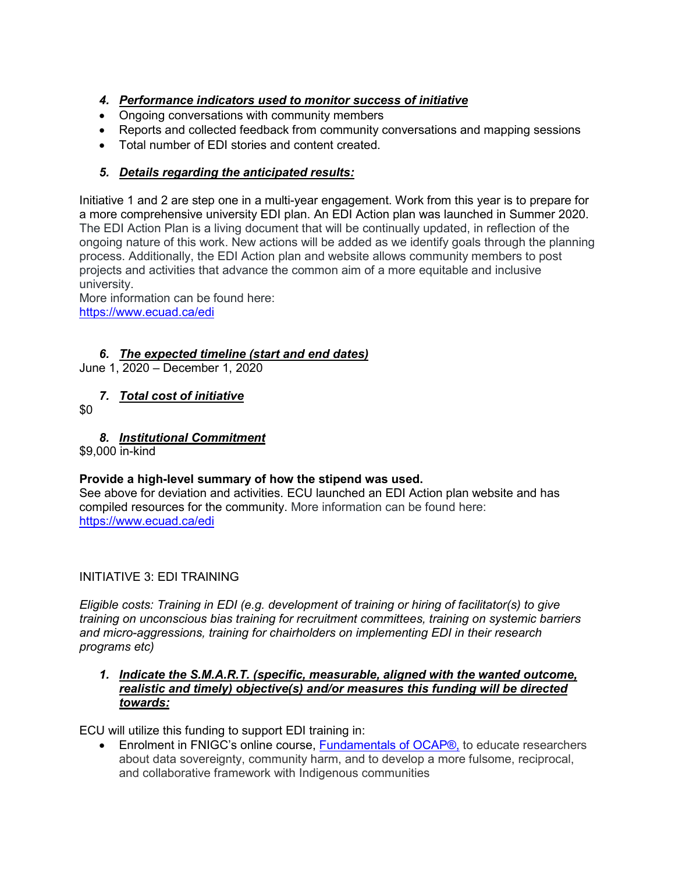# *4. Performance indicators used to monitor success of initiative*

- Ongoing conversations with community members
- Reports and collected feedback from community conversations and mapping sessions
- Total number of EDI stories and content created.

## *5. Details regarding the anticipated results:*

Initiative 1 and 2 are step one in a multi-year engagement. Work from this year is to prepare for a more comprehensive university EDI plan. An EDI Action plan was launched in Summer 2020. The EDI Action Plan is a living document that will be continually updated, in reflection of the ongoing nature of this work. New actions will be added as we identify goals through the planning process. Additionally, the EDI Action plan and website allows community members to post projects and activities that advance the common aim of a more equitable and inclusive university.

More information can be found here: <https://www.ecuad.ca/edi>

## *6. The expected timeline (start and end dates)*

June 1, 2020 – December 1, 2020

# *7. Total cost of initiative*

\$0

## *8. Institutional Commitment*

\$9,000 in-kind

## **Provide a high-level summary of how the stipend was used.**

See above for deviation and activities. ECU launched an EDI Action plan website and has compiled resources for the community. More information can be found here: <https://www.ecuad.ca/edi>

## INITIATIVE 3: EDI TRAINING

*Eligible costs: Training in EDI (e.g. development of training or hiring of facilitator(s) to give training on unconscious bias training for recruitment committees, training on systemic barriers and micro-aggressions, training for chairholders on implementing EDI in their research programs etc)*

#### *1. Indicate the S.M.A.R.T. (specific, measurable, aligned with the wanted outcome, realistic and timely) objective(s) and/or measures this funding will be directed towards:*

ECU will utilize this funding to support EDI training in:

• Enrolment in FNIGC's online course, [Fundamentals](https://fnigc.ca/training/fundamentals-ocap.html) of OCAP®, to educate researchers about data sovereignty, community harm, and to develop a more fulsome, reciprocal, and collaborative framework with Indigenous communities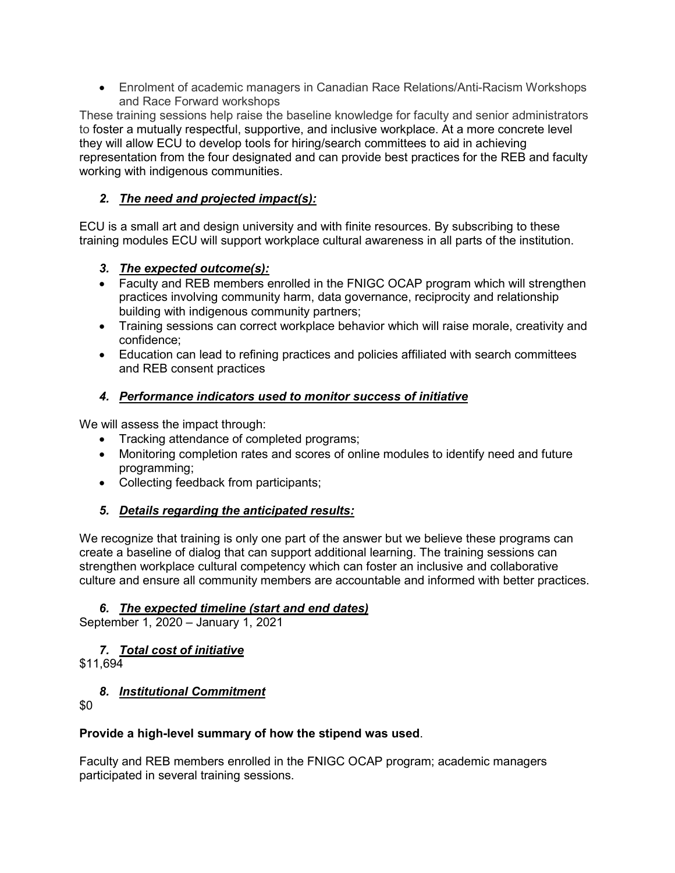• Enrolment of academic managers in Canadian Race Relations/Anti-Racism Workshops and Race Forward workshops

These training sessions help raise the baseline knowledge for faculty and senior administrators to foster a mutually respectful, supportive, and inclusive workplace. At a more concrete level they will allow ECU to develop tools for hiring/search committees to aid in achieving representation from the four designated and can provide best practices for the REB and faculty working with indigenous communities.

# *2. The need and projected impact(s):*

ECU is a small art and design university and with finite resources. By subscribing to these training modules ECU will support workplace cultural awareness in all parts of the institution.

## *3. The expected outcome(s):*

- Faculty and REB members enrolled in the FNIGC OCAP program which will strengthen practices involving community harm, data governance, reciprocity and relationship building with indigenous community partners;
- Training sessions can correct workplace behavior which will raise morale, creativity and confidence;
- Education can lead to refining practices and policies affiliated with search committees and REB consent practices

# *4. Performance indicators used to monitor success of initiative*

We will assess the impact through:

- Tracking attendance of completed programs;
- Monitoring completion rates and scores of online modules to identify need and future programming;
- Collecting feedback from participants;

## *5. Details regarding the anticipated results:*

We recognize that training is only one part of the answer but we believe these programs can create a baseline of dialog that can support additional learning. The training sessions can strengthen workplace cultural competency which can foster an inclusive and collaborative culture and ensure all community members are accountable and informed with better practices.

## *6. The expected timeline (start and end dates)*

September 1, 2020 – January 1, 2021

## *7. Total cost of initiative*

\$11,694

## *8. Institutional Commitment*

\$0

## **Provide a high-level summary of how the stipend was used**.

Faculty and REB members enrolled in the FNIGC OCAP program; academic managers participated in several training sessions.